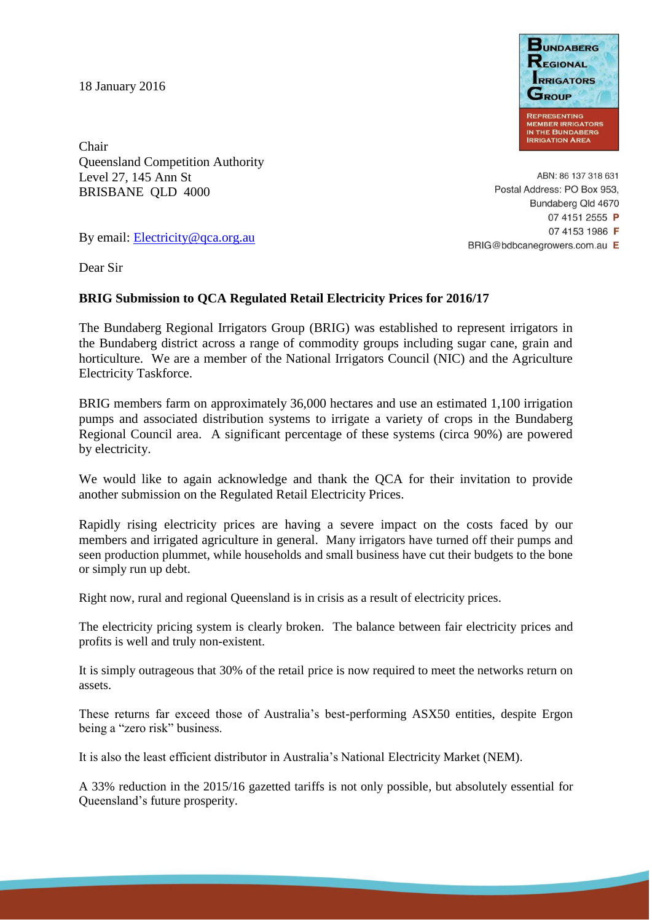18 January 2016



Chair Queensland Competition Authority Level 27, 145 Ann St BRISBANE QLD 4000

ABN: 86 137 318 631 Postal Address: PO Box 953, Bundaberg Qld 4670 07 4151 2555 P 07 4153 1986 F BRIG@bdbcanegrowers.com.au E

By email: [Electricity@qca.org.au](mailto:Electricity@qca.org.au)

Dear Sir

## **BRIG Submission to QCA Regulated Retail Electricity Prices for 2016/17**

The Bundaberg Regional Irrigators Group (BRIG) was established to represent irrigators in the Bundaberg district across a range of commodity groups including sugar cane, grain and horticulture. We are a member of the National Irrigators Council (NIC) and the Agriculture Electricity Taskforce.

BRIG members farm on approximately 36,000 hectares and use an estimated 1,100 irrigation pumps and associated distribution systems to irrigate a variety of crops in the Bundaberg Regional Council area. A significant percentage of these systems (circa 90%) are powered by electricity.

We would like to again acknowledge and thank the QCA for their invitation to provide another submission on the Regulated Retail Electricity Prices.

Rapidly rising electricity prices are having a severe impact on the costs faced by our members and irrigated agriculture in general. Many irrigators have turned off their pumps and seen production plummet, while households and small business have cut their budgets to the bone or simply run up debt.

Right now, rural and regional Queensland is in crisis as a result of electricity prices.

The electricity pricing system is clearly broken. The balance between fair electricity prices and profits is well and truly non-existent.

It is simply outrageous that 30% of the retail price is now required to meet the networks return on assets.

These returns far exceed those of Australia's best-performing ASX50 entities, despite Ergon being a "zero risk" business.

It is also the least efficient distributor in Australia's National Electricity Market (NEM).

A 33% reduction in the 2015/16 gazetted tariffs is not only possible, but absolutely essential for Queensland's future prosperity.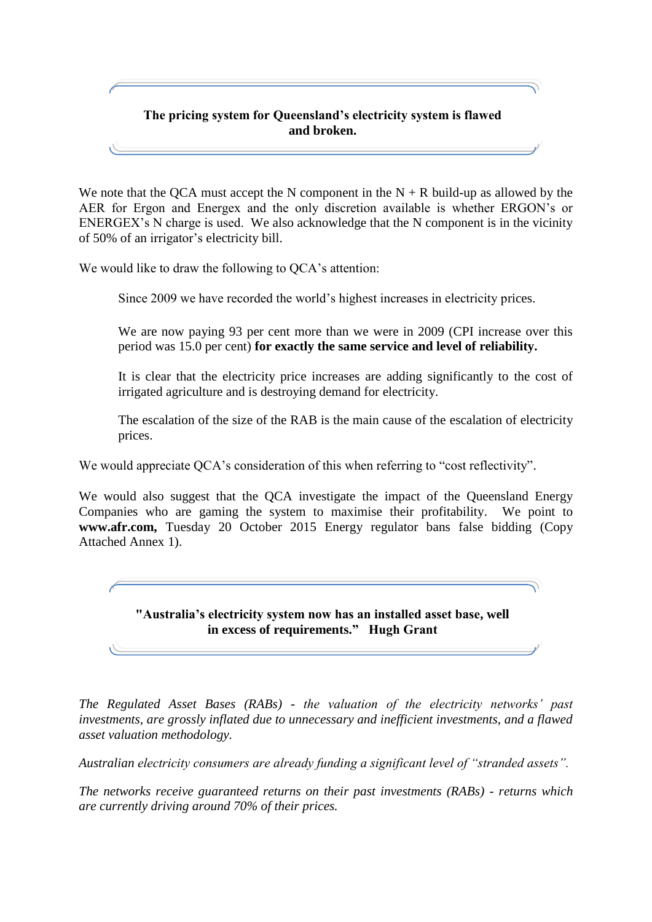## **The pricing system for Queensland's electricity system is flawed and broken.**

We note that the QCA must accept the N component in the  $N + R$  build-up as allowed by the AER for Ergon and Energex and the only discretion available is whether ERGON's or ENERGEX's N charge is used. We also acknowledge that the N component is in the vicinity of 50% of an irrigator's electricity bill.

We would like to draw the following to QCA's attention:

Since 2009 we have recorded the world's highest increases in electricity prices.

We are now paying 93 per cent more than we were in 2009 (CPI increase over this period was 15.0 per cent) **for exactly the same service and level of reliability.**

It is clear that the electricity price increases are adding significantly to the cost of irrigated agriculture and is destroying demand for electricity.

The escalation of the size of the RAB is the main cause of the escalation of electricity prices.

We would appreciate QCA's consideration of this when referring to "cost reflectivity".

We would also suggest that the QCA investigate the impact of the Queensland Energy Companies who are gaming the system to maximise their profitability. We point to **www.afr.com,** Tuesday 20 October 2015 Energy regulator bans false bidding (Copy Attached Annex 1).

> **"Australia's electricity system now has an installed asset base, well in excess of requirements." Hugh Grant**

*The Regulated Asset Bases (RABs) - the valuation of the electricity networks' past investments, are grossly inflated due to unnecessary and inefficient investments, and a flawed asset valuation methodology.*

*Australian electricity consumers are already funding a significant level of "stranded assets".*

*The networks receive guaranteed returns on their past investments (RABs) - returns which are currently driving around 70% of their prices.*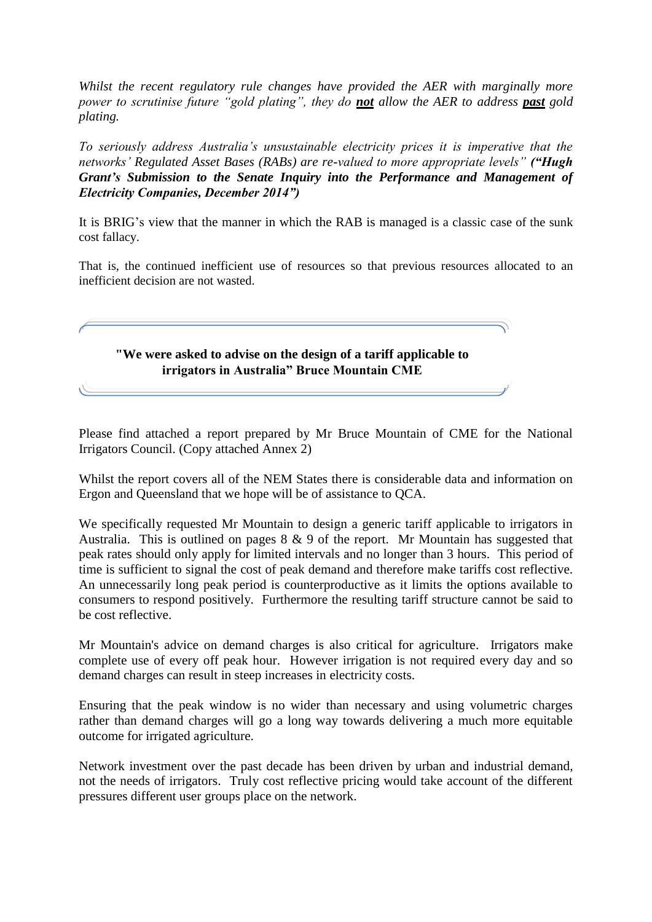*Whilst the recent regulatory rule changes have provided the AER with marginally more power to scrutinise future "gold plating", they do not allow the AER to address past gold plating.* 

*To seriously address Australia's unsustainable electricity prices it is imperative that the networks' Regulated Asset Bases (RABs) are re-valued to more appropriate levels" ("Hugh Grant's Submission to the Senate Inquiry into the Performance and Management of Electricity Companies, December 2014")*

It is BRIG's view that the manner in which the RAB is managed is a classic case of the sunk cost fallacy.

That is, the continued inefficient use of resources so that previous resources allocated to an inefficient decision are not wasted.



Please find attached a report prepared by Mr Bruce Mountain of CME for the National Irrigators Council. (Copy attached Annex 2)

Whilst the report covers all of the NEM States there is considerable data and information on Ergon and Queensland that we hope will be of assistance to QCA.

We specifically requested Mr Mountain to design a generic tariff applicable to irrigators in Australia. This is outlined on pages  $8 \& 9$  of the report. Mr Mountain has suggested that peak rates should only apply for limited intervals and no longer than 3 hours. This period of time is sufficient to signal the cost of peak demand and therefore make tariffs cost reflective. An unnecessarily long peak period is counterproductive as it limits the options available to consumers to respond positively. Furthermore the resulting tariff structure cannot be said to be cost reflective.

Mr Mountain's advice on demand charges is also critical for agriculture. Irrigators make complete use of every off peak hour. However irrigation is not required every day and so demand charges can result in steep increases in electricity costs.

Ensuring that the peak window is no wider than necessary and using volumetric charges rather than demand charges will go a long way towards delivering a much more equitable outcome for irrigated agriculture.

Network investment over the past decade has been driven by urban and industrial demand, not the needs of irrigators. Truly cost reflective pricing would take account of the different pressures different user groups place on the network.